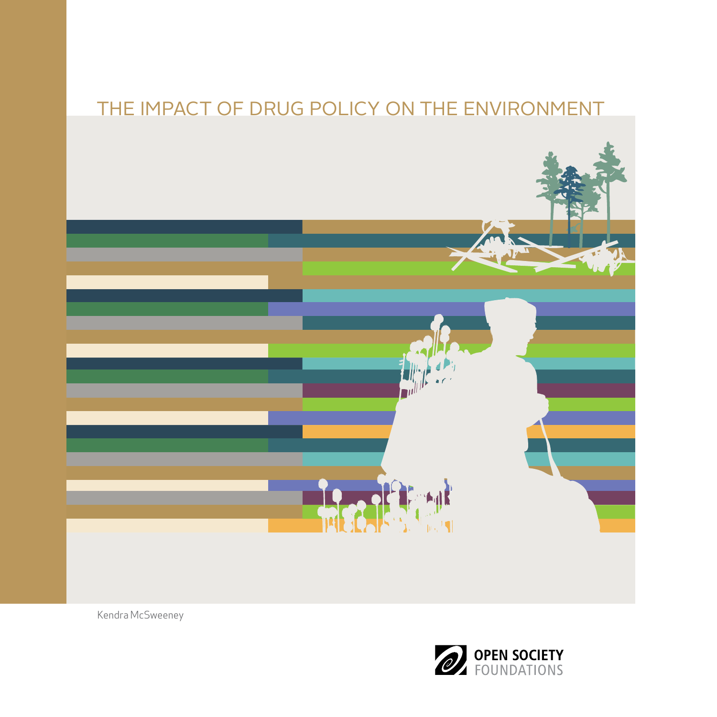## THE IMPACT OF DRUG POLICY ON THE ENVIRONMENT



Kendra McSweeney

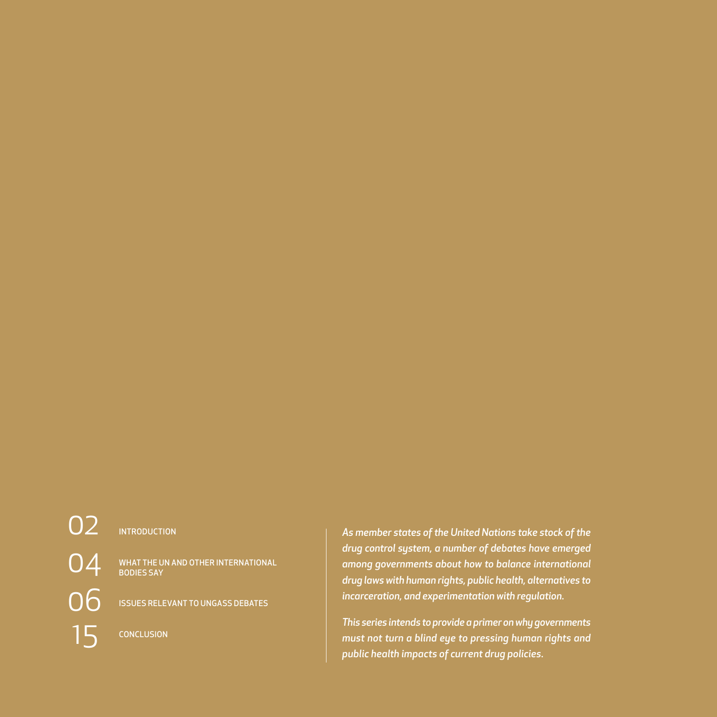# O<sub>2</sub> INTRODUCTION  [15](#page-16-0) CONCLUSION

04 WHAT THE UN AND OTHER INTERNATIONAL [BODIES SAY](#page-5-0)

O6 [ISSUES RELEVANT TO UNGASS DEBATES](#page-7-0)

*As member states of the United Nations take stock of the drug control system, a number of debates have emerged among governments about how to balance international drug laws with human rights, public health, alternatives to incarceration, and experimentation with regulation.*

*This series intends to provide a primer on why governments must not turn a blind eye to pressing human rights and public health impacts of current drug policies.*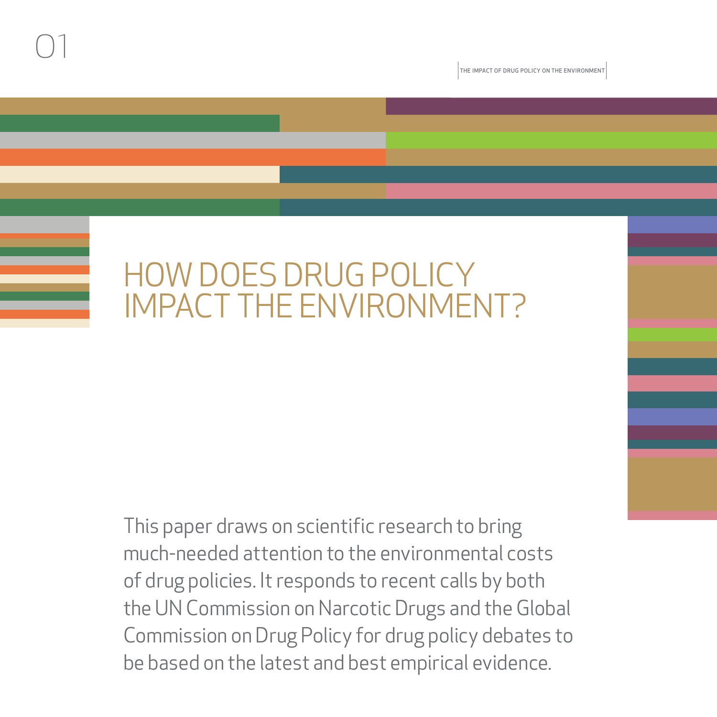

The Impact of Drug Policy on the Environment

## HOW DOES DRUG POLICY IMPACT THE ENVIRONMENT?

This paper draws on scientific research to bring much-needed attention to the environmental costs of drug policies. It responds to recent calls by both the UN Commission on Narcotic Drugs and the Global Commission on Drug Policy for drug policy debates to be based on the latest and best empirical evidence.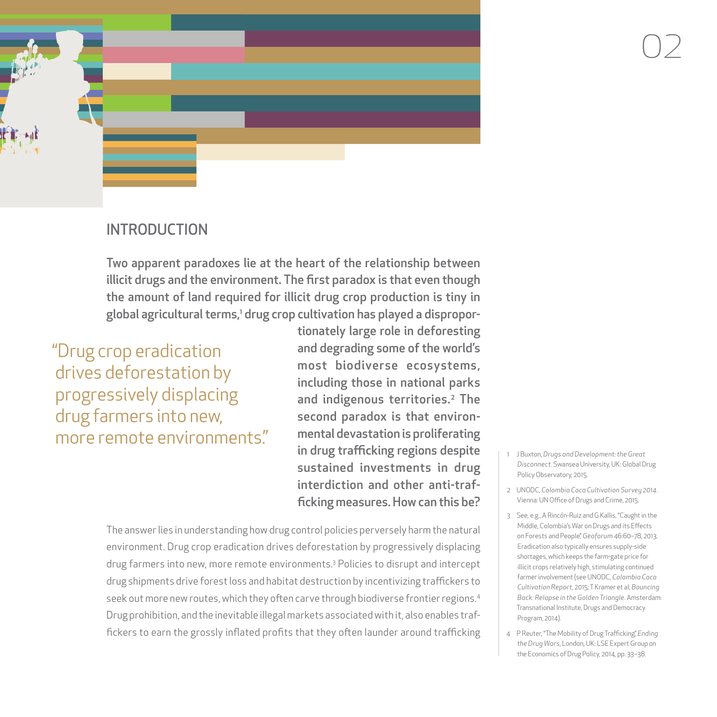<span id="page-3-0"></span>

#### INTRODUCTION

Two apparent paradoxes lie at the heart of the relationship between illicit drugs and the environment. The first paradox is that even though the amount of land required for illicit drug crop production is tiny in global agricultural terms,' drug crop cultivation has played a dispropor-

"Drug crop eradication drives deforestation by progressively displacing drug farmers into new, more remote environments."

tionately large role in deforesting and degrading some of the world's most biodiverse ecosystems, including those in national parks and indigenous territories.<sup>2</sup> The second paradox is that environmental devastation is proliferating in drug trafficking regions despite sustained investments in drug interdiction and other anti-trafficking measures. How can this be?

The answer lies in understanding how drug control policies perversely harm the natural environment. Drug crop eradication drives deforestation by progressively displacing drug farmers into new, more remote environments.3 Policies to disrupt and intercept drug shipments drive forest loss and habitat destruction by incentivizing traffickers to seek out more new routes, which they often carve through biodiverse frontier regions.<sup>4</sup> Drug prohibition, and the inevitable illegal markets associated with it, also enables traffickers to earn the grossly inflated profits that they often launder around trafficking

- 1 J Buxton, *Drugs and Development: the Great Disconnect*. Swansea University, UK: Global Drug Policy Observatory, 2015.
- 2 UNODC, *Colombia Coca Cultivation Survey 2014*. Vienna: UN Office of Drugs and Crime, 2015.
- 3 See, e.g., A Rincón-Ruiz and G Kallis, "Caught in the Middle, Colombia's War on Drugs and its Effects on Forests and People," *Geoforum* 46:60–78, 2013. Eradication also typically ensures supply-side shortages, which keeps the farm-gate price for illicit crops relatively high, stimulating continued farmer involvement (see UNODC, *Colombia Coca Cultivation Report*, 2015; T Kramer et al, *Bouncing Back: Relapse in the Golden Triangle*. Amsterdam: Transnational Institute, Drugs and Democracy Program, 2014).
- 4 P Reuter, "The Mobility of Drug Trafficking," *Ending the Drug Wars*, London, UK: LSE Expert Group on the Economics of Drug Policy, 2014, pp. 33–38.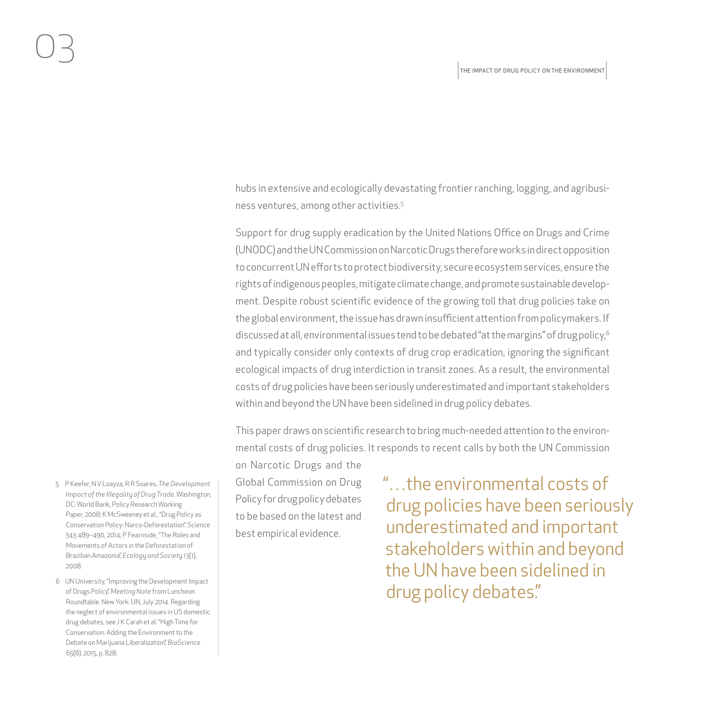hubs in extensive and ecologically devastating frontier ranching, logging, and agribusiness ventures, among other activities.5

Support for drug supply eradication by the United Nations Office on Drugs and Crime (UNODC) and the UN Commission on Narcotic Drugs therefore works in direct opposition to concurrent UN efforts to protect biodiversity, secure ecosystem services, ensure the rights of indigenous peoples, mitigate climate change, and promote sustainable development. Despite robust scientific evidence of the growing toll that drug policies take on the global environment, the issue has drawn insufficient attention from policymakers. If discussed at all, environmental issues tend to be debated "at the margins" of drug policy,<sup>6</sup> and typically consider only contexts of drug crop eradication, ignoring the significant ecological impacts of drug interdiction in transit zones. As a result, the environmental costs of drug policies have been seriously underestimated and important stakeholders within and beyond the UN have been sidelined in drug policy debates.

This paper draws on scientific research to bring much-needed attention to the environmental costs of drug policies. It responds to recent calls by both the UN Commission

on Narcotic Drugs and the Global Commission on Drug Policy for drug policy debates to be based on the latest and best empirical evidence.

"…the environmental costs of drug policies have been seriously underestimated and important stakeholders within and beyond the UN have been sidelined in drug policy debates."

- 5 P Keefer, N V Loayza, R R Soares, *The Development Impact of the Illegality of Drug Trade*. Washington, DC: World Bank, Policy Research Working Paper, 2008; K McSweeney et al., "Drug Policy as Conservation Policy: Narco-Deforestation." *Science* 343 489–490, 2014; P Fearnside, "The Roles and Movements of Actors in the Deforestation of Brazilian Amazonia," *Ecology and Society* 13(1), 2008.
- 6 UN University, "Improving the Development Impact of Drugs Policy," *Meeting Note* from Luncheon Roundtable. New York: UN, July 2014. Regarding the neglect of environmental issues in US domestic drug debates, see J K Carah et al. "High Time for Conservation: Adding the Environment to the Debate on Marijuana Liberalization," *BioScience* 65(8), 2015, p. 828.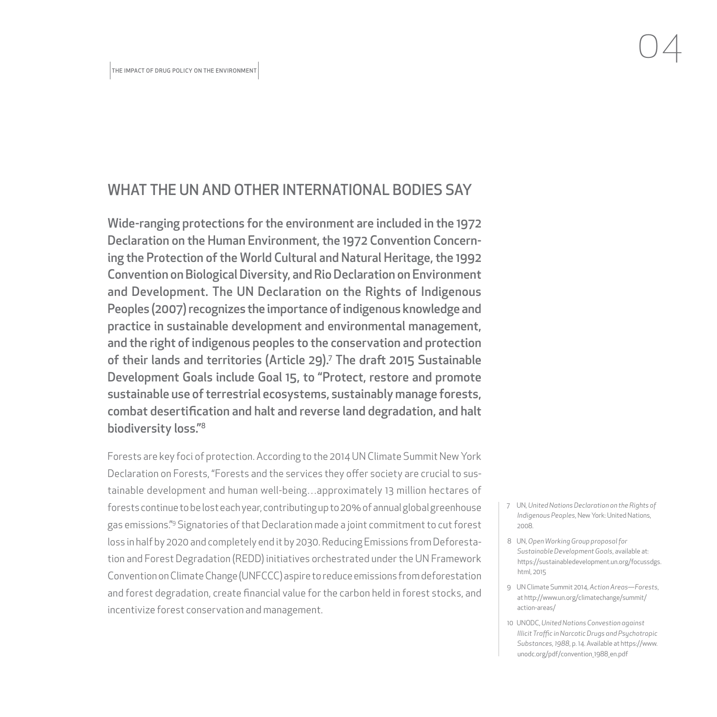#### <span id="page-5-0"></span>WHAT THE UN AND OTHER INTERNATIONAL BODIES SAY

Wide-ranging protections for the environment are included in the 1972 Declaration on the Human Environment, the 1972 Convention Concerning the Protection of the World Cultural and Natural Heritage, the 1992 Convention on Biological Diversity, and Rio Declaration on Environment and Development. The UN Declaration on the Rights of Indigenous Peoples (2007) recognizes the importance of indigenous knowledge and practice in sustainable development and environmental management, and the right of indigenous peoples to the conservation and protection of their lands and territories (Article 29).7 The draft 2015 Sustainable Development Goals include Goal 15, to "Protect, restore and promote sustainable use of terrestrial ecosystems, sustainably manage forests, combat desertification and halt and reverse land degradation, and halt biodiversity loss."8

Forests are key foci of protection. According to the 2014 UN Climate Summit New York Declaration on Forests, "Forests and the services they offer society are crucial to sustainable development and human well-being…approximately 13 million hectares of forests continue to be lost each year, contributing up to 20% of annual global greenhouse gas emissions."9 Signatories of that Declaration made a joint commitment to cut forest loss in half by 2020 and completely end it by 2030. Reducing Emissions from Deforestation and Forest Degradation (REDD) initiatives orchestrated under the UN Framework Convention on Climate Change (UNFCCC) aspire to reduce emissions from deforestation and forest degradation, create financial value for the carbon held in forest stocks, and incentivize forest conservation and management.

- 7 UN, *United Nations Declaration on the Rights of Indigenous Peoples*, New York: United Nations, 2008.
- 8 UN, *Open Working Group proposal for Sustainable Development Goals*, available at: [https://sustainabledevelopment.un.org/focussdgs.](https://sustainabledevelopment.un.org/focussdgs.html) [html](https://sustainabledevelopment.un.org/focussdgs.html), 2015
- 9 UN Climate Summit 2014, *Action Areas—Forests*, at [http://www.un.org/climatechange/summit/](http://www.un.org/climatechange/summit/action-areas/) [action-areas/](http://www.un.org/climatechange/summit/action-areas/)
- 10 UNODC, *United Nations Convestion against Illicit Traffic in Narcotic Drugs and Psychotropic Substances, 1988*, p. 14. Available at [https://www.](https://www.unodc.org/pdf/convention_1988_en.pdf) [unodc.org/pdf/convention\\_1988\\_en.pdf](https://www.unodc.org/pdf/convention_1988_en.pdf)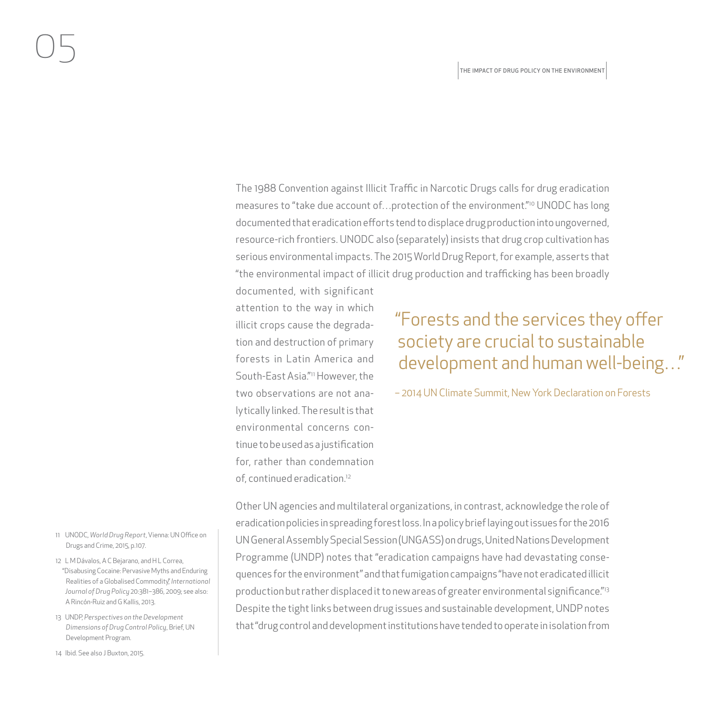The 1988 Convention against Illicit Traffic in Narcotic Drugs calls for drug eradication measures to "take due account of...protection of the environment."<sup>10</sup> UNODC has long documented that eradication efforts tend to displace drug production into ungoverned, resource-rich frontiers. UNODC also (separately) insists that drug crop cultivation has serious environmental impacts. The 2015 World Drug Report, for example, asserts that "the environmental impact of illicit drug production and trafficking has been broadly

documented, with significant attention to the way in which illicit crops cause the degradation and destruction of primary forests in Latin America and South-East Asia."11 However, the two observations are not analytically linked. The result is that environmental concerns continue to be used as a justification for, rather than condemnation of, continued eradication.12

### "Forests and the services they offer society are crucial to sustainable development and human well-being…"

– 2014 UN Climate Summit, New York Declaration on Forests

Other UN agencies and multilateral organizations, in contrast, acknowledge the role of eradication policies in spreading forest loss. In a policy brief laying out issues for the 2016 UN General Assembly Special Session (UNGASS) on drugs, United Nations Development Programme (UNDP) notes that "eradication campaigns have had devastating consequences for the environment" and that fumigation campaigns "have not eradicated illicit production but rather displaced it to new areas of greater environmental significance."<sup>13</sup> Despite the tight links between drug issues and sustainable development, UNDP notes that "drug control and development institutions have tended to operate in isolation from

- 11 UNODC, *World Drug Report*, Vienna: UN Office on Drugs and Crime, 2015, p.107.
- 12 L M Dávalos, A C Bejarano, and H L Correa, "Disabusing Cocaine: Pervasive Myths and Enduring Realities of a Globalised Commodity," *International Journal of Drug Policy* 20:381–386, 2009; see also: A Rincón-Ruiz and G Kallis, 2013.
- 13 UNDP, *Perspectives on the Development Dimensions of Drug Control Policy*, Brief, UN Development Program.
- 14 Ibid. See also J Buxton, 2015.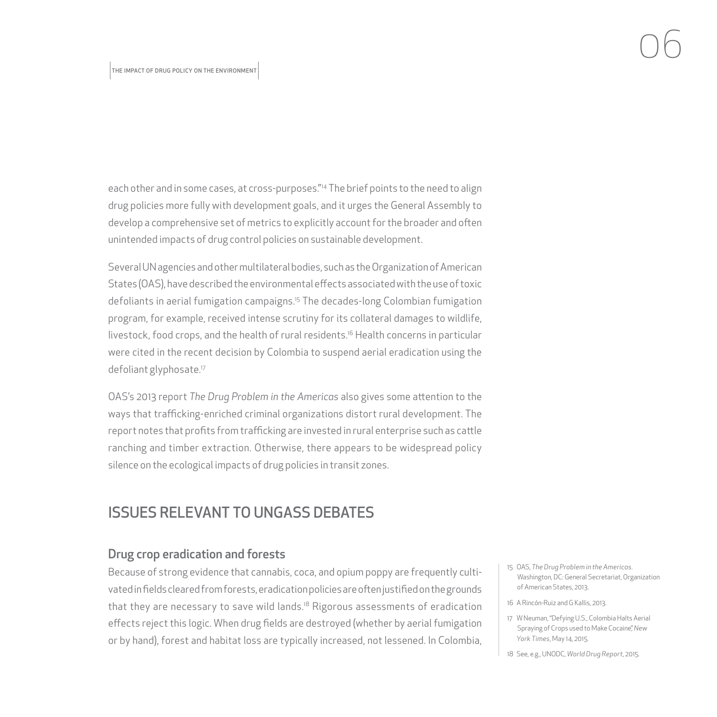<span id="page-7-0"></span>each other and in some cases, at cross-purposes."14 The brief points to the need to align drug policies more fully with development goals, and it urges the General Assembly to develop a comprehensive set of metrics to explicitly account for the broader and often unintended impacts of drug control policies on sustainable development.

Several UN agencies and other multilateral bodies, such as the Organization of American States (OAS), have described the environmental effects associated with the use of toxic defoliants in aerial fumigation campaigns.15 The decades-long Colombian fumigation program, for example, received intense scrutiny for its collateral damages to wildlife, livestock, food crops, and the health of rural residents.16 Health concerns in particular were cited in the recent decision by Colombia to suspend aerial eradication using the defoliant glyphosate.17

OAS's 2013 report *The Drug Problem in the Americas* also gives some attention to the ways that trafficking-enriched criminal organizations distort rural development. The report notes that profits from trafficking are invested in rural enterprise such as cattle ranching and timber extraction. Otherwise, there appears to be widespread policy silence on the ecological impacts of drug policies in transit zones.

#### ISSUES RELEVANT TO UNGASS DEBATES

#### Drug crop eradication and forests

Because of strong evidence that cannabis, coca, and opium poppy are frequently cultivated in fields cleared from forests, eradication policies are often justified on the grounds that they are necessary to save wild lands.<sup>18</sup> Rigorous assessments of eradication effects reject this logic. When drug fields are destroyed (whether by aerial fumigation or by hand), forest and habitat loss are typically increased, not lessened. In Colombia,

- 15 OAS, *The Drug Problem in the Americas*. Washington, DC: General Secretariat, Organization of American States, 2013.
- 16 A Rincón-Ruiz and G Kallis, 2013.
- 17 W Neuman, "Defying U.S., Colombia Halts Aerial Spraying of Crops used to Make Cocaine," *New York Times*, May 14, 2015.
- 18 See, e.g., UNODC, *World Drug Report*, 2015.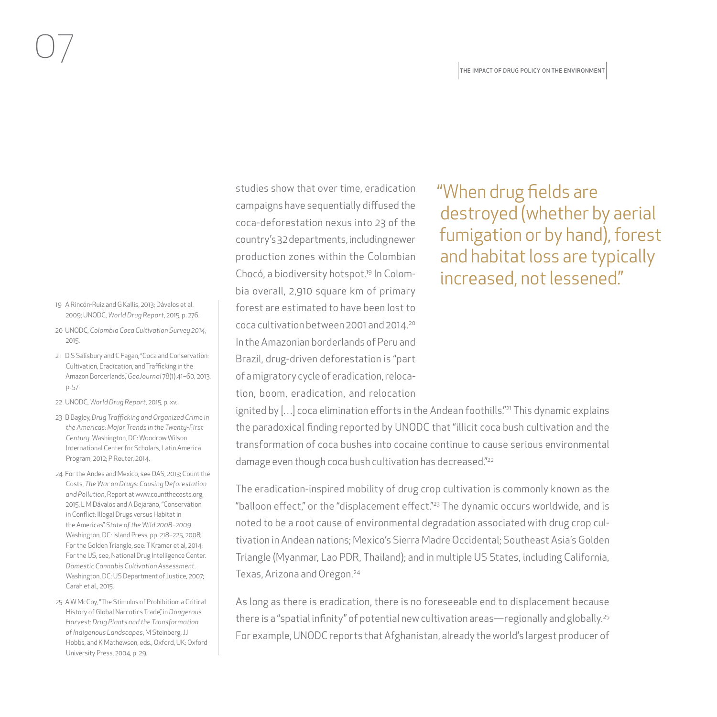- 19 A Rincón-Ruiz and G Kallis, 2013; Dávalos et al. 2009; UNODC, *World Drug Report*, 2015, p. 276.
- 20 UNODC, *Colombia Coca Cultivation Survey 2014*, 2015.
- 21 D S Salisbury and C Fagan, "Coca and Conservation: Cultivation, Eradication, and Trafficking in the Amazon Borderlands," *GeoJournal* 78(1):41–60, 2013, p. 57.
- 22 UNODC, *World Drug Report*, 2015, p. xv.
- 23 B Bagley, *Drug Trafficking and Organized Crime in the Americas: Major Trends in the Twenty-First Century*. Washington, DC: Woodrow Wilson International Center for Scholars, Latin America Program, 2012; P Reuter, 2014.
- 24 For the Andes and Mexico, see OAS, 2013; Count the Costs, *The War on Drugs: Causing Deforestation and Pollution*, Report at [www.countthecosts.org,](www.countthecosts.org) 2015; L M Dávalos and A Bejarano, "Conservation in Conflict: Illegal Drugs versus Habitat in the Americas." *State of the Wild 2008–2009*. Washington, DC: Island Press, pp. 218–225, 2008; For the Golden Triangle, see: T Kramer et al, 2014; For the US, see, National Drug Intelligence Center. *Domestic Cannabis Cultivation Assessment*. Washington, DC: US Department of Justice, 2007; Carah et al., 2015.
- 25 A W McCoy, "The Stimulus of Prohibition: a Critical History of Global Narcotics Trade," in *Dangerous Harvest: Drug Plants and the Transformation of Indigenous Landscapes*, M Steinberg, JJ Hobbs, and K Mathewson, eds., Oxford, UK: Oxford University Press, 2004, p. 29.

studies show that over time, eradication campaigns have sequentially diffused the coca-deforestation nexus into 23 of the country's 32 departments, including newer production zones within the Colombian Chocó, a biodiversity hotspot.19 In Colombia overall, 2,910 square km of primary forest are estimated to have been lost to coca cultivation between 2001 and 2014.20 In the Amazonian borderlands of Peru and Brazil, drug-driven deforestation is "part of a migratory cycle of eradication, relocation, boom, eradication, and relocation "When drug fields are destroyed (whether by aerial fumigation or by hand), forest and habitat loss are typically increased, not lessened."

ignited by [...] coca elimination efforts in the Andean foothills."<sup>21</sup> This dynamic explains the paradoxical finding reported by UNODC that "illicit coca bush cultivation and the transformation of coca bushes into cocaine continue to cause serious environmental damage even though coca bush cultivation has decreased."22

The eradication-inspired mobility of drug crop cultivation is commonly known as the "balloon effect," or the "displacement effect."23 The dynamic occurs worldwide, and is noted to be a root cause of environmental degradation associated with drug crop cultivation in Andean nations; Mexico's Sierra Madre Occidental; Southeast Asia's Golden Triangle (Myanmar, Lao PDR, Thailand); and in multiple US States, including California, Texas, Arizona and Oregon.24

As long as there is eradication, there is no foreseeable end to displacement because there is a "spatial infinity" of potential new cultivation areas—regionally and globally.<sup>25</sup> For example, UNODC reports that Afghanistan, already the world's largest producer of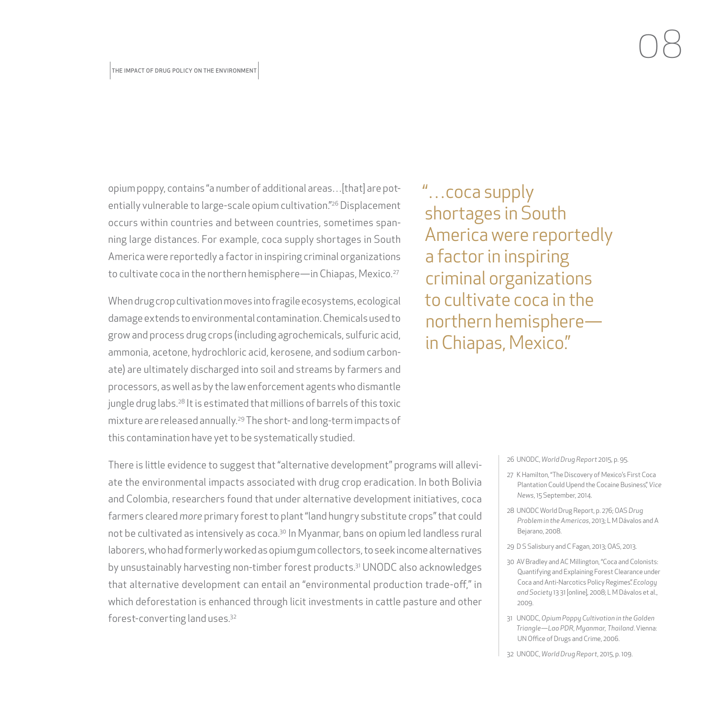opium poppy, contains "a number of additional areas…[that] are potentially vulnerable to large-scale opium cultivation."26 Displacement occurs within countries and between countries, sometimes spanning large distances. For example, coca supply shortages in South America were reportedly a factor in inspiring criminal organizations to cultivate coca in the northern hemisphere—in Chiapas, Mexico.<sup>27</sup>

When drug crop cultivation moves into fragile ecosystems, ecological damage extends to environmental contamination. Chemicals used to grow and process drug crops (including agrochemicals, sulfuric acid, ammonia, acetone, hydrochloric acid, kerosene, and sodium carbonate) are ultimately discharged into soil and streams by farmers and processors, as well as by the law enforcement agents who dismantle jungle drug labs.<sup>28</sup> It is estimated that millions of barrels of this toxic mixture are released annually.29 The short- and long-term impacts of this contamination have yet to be systematically studied.

There is little evidence to suggest that "alternative development" programs will alleviate the environmental impacts associated with drug crop eradication. In both Bolivia and Colombia, researchers found that under alternative development initiatives, coca farmers cleared *more* primary forest to plant "land hungry substitute crops" that could not be cultivated as intensively as coca.<sup>30</sup> In Myanmar, bans on opium led landless rural laborers, who had formerly worked as opium gum collectors, to seek income alternatives by unsustainably harvesting non-timber forest products.<sup>31</sup> UNODC also acknowledges that alternative development can entail an "environmental production trade-off," in which deforestation is enhanced through licit investments in cattle pasture and other forest-converting land uses.32

"…coca supply shortages in South America were reportedly a factor in inspiring criminal organizations to cultivate coca in the northern hemisphere in Chiapas, Mexico."

26 UNODC, *World Drug Report* 2015, p. 95.

- 27 K Hamilton, "The Discovery of Mexico's First Coca Plantation Could Upend the Cocaine Business," *Vice News*, 15 September, 2014.
- 28 UNODC World Drug Report, p. 276; OAS *Drug Problem in the Americas*, 2013; L M Dávalos and A Bejarano, 2008.
- 29 D S Salisbury and C Fagan, 2013; OAS, 2013.
- 30 AV Bradley and AC Millington, "Coca and Colonists: Quantifying and Explaining Forest Clearance under Coca and Anti-Narcotics Policy Regimes." *Ecology and Society* 13 31 [online], 2008; L M Dávalos et al., 2009.
- 31 UNODC, *Opium Poppy Cultivation in the Golden Triangle—Lao PDR, Myanmar, Thailand*. Vienna: UN Office of Drugs and Crime, 2006.
- 32 UNODC, *World Drug Report*, 2015, p. 109.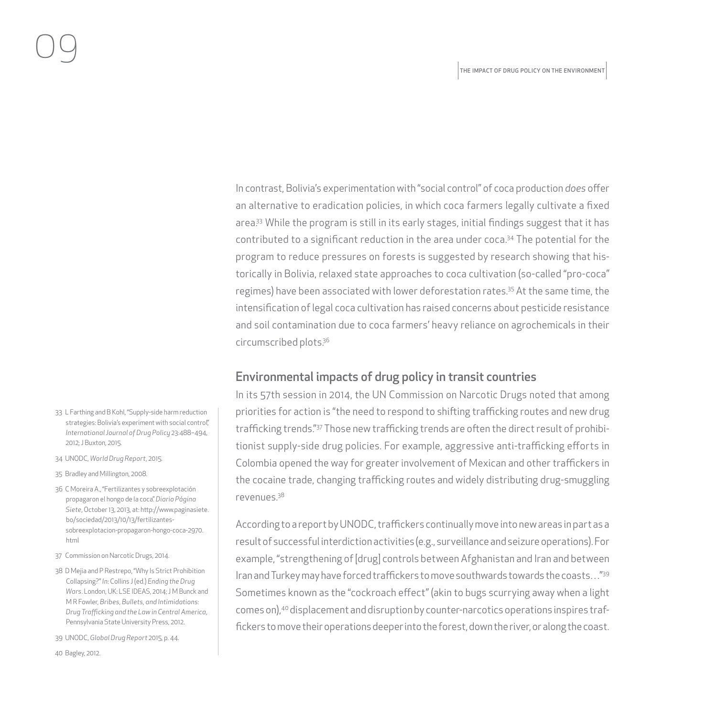In contrast, Bolivia's experimentation with "social control" of coca production *does* offer an alternative to eradication policies, in which coca farmers legally cultivate a fixed area.<sup>33</sup> While the program is still in its early stages, initial findings suggest that it has contributed to a significant reduction in the area under coca.<sup>34</sup> The potential for the program to reduce pressures on forests is suggested by research showing that historically in Bolivia, relaxed state approaches to coca cultivation (so-called "pro-coca" regimes) have been associated with lower deforestation rates.35 At the same time, the intensification of legal coca cultivation has raised concerns about pesticide resistance and soil contamination due to coca farmers' heavy reliance on agrochemicals in their circumscribed plots.36

#### Environmental impacts of drug policy in transit countries

In its 57th session in 2014, the UN Commission on Narcotic Drugs noted that among priorities for action is "the need to respond to shifting trafficking routes and new drug trafficking trends."37 Those new trafficking trends are often the direct result of prohibitionist supply-side drug policies. For example, aggressive anti-trafficking efforts in Colombia opened the way for greater involvement of Mexican and other traffickers in the cocaine trade, changing trafficking routes and widely distributing drug-smuggling revenues.38

According to a report by UNODC, traffickers continually move into new areas in part as a result of successful interdiction activities (e.g., surveillance and seizure operations). For example, "strengthening of [drug] controls between Afghanistan and Iran and between Iran and Turkey may have forced traffickers to move southwards towards the coasts…"39 Sometimes known as the "cockroach effect" (akin to bugs scurrying away when a light comes on),40 displacement and disruption by counter-narcotics operations inspires traffickers to move their operations deeper into the forest, down the river, or along the coast.

- 33 L Farthing and B Kohl, "Supply-side harm reduction strategies: Bolivia's experiment with social control", *International Journal of Drug Policy* 23:488–494, 2012; J Buxton, 2015.
- 34 UNODC, *World Drug Report*, 2015.
- 35 Bradley and Millington, 2008.
- 36 C Moreira A., "Fertilizantes y sobreexplotación propagaron el hongo de la coca." *Diario Página Siete*, October 13, 2013, at: [http://www.paginasiete.](http://www.paginasiete.bo/sociedad/2013/10/13/fertilizantes-sobreexplotacion-propagaron-hongo-coca-2970.html) [bo/sociedad/2013/10/13/fertilizantes](http://www.paginasiete.bo/sociedad/2013/10/13/fertilizantes-sobreexplotacion-propagaron-hongo-coca-2970.html)[sobreexplotacion-propagaron-hongo-coca-2970.](http://www.paginasiete.bo/sociedad/2013/10/13/fertilizantes-sobreexplotacion-propagaron-hongo-coca-2970.html) [html](http://www.paginasiete.bo/sociedad/2013/10/13/fertilizantes-sobreexplotacion-propagaron-hongo-coca-2970.html)
- 37 Commission on Narcotic Drugs, 2014.
- 38 D Mejia and P Restrepo, "Why Is Strict Prohibition Collapsing?" *In:* Collins J (ed.) *Ending the Drug Wars*. London, UK: LSE IDEAS, 2014; J M Bunck and M R Fowler, *Bribes, Bullets, and Intimidations: Drug Trafficking and the Law in Central America*, Pennsylvania State University Press, 2012.
- 39 UNODC, *Global Drug Report* 2015, p. 44.

40 Bagley, 2012.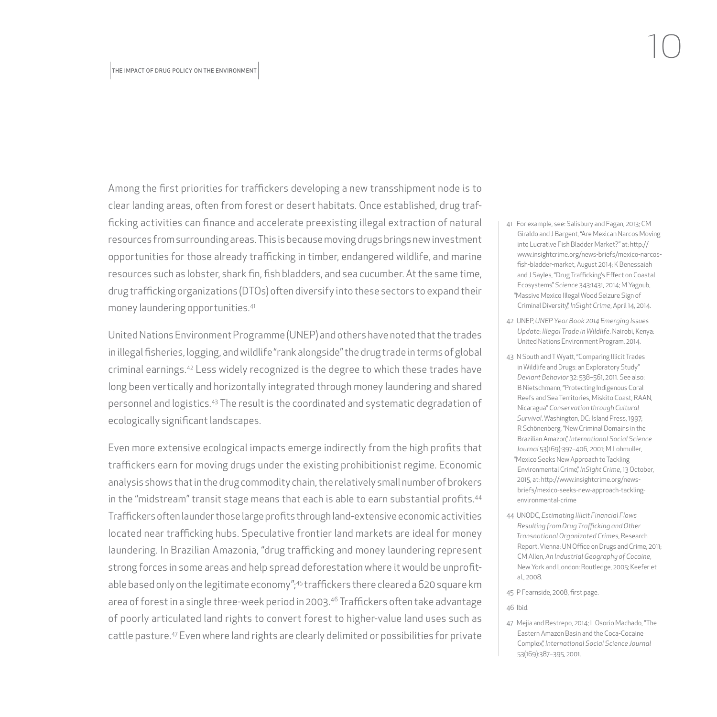Among the first priorities for traffickers developing a new transshipment node is to clear landing areas, often from forest or desert habitats. Once established, drug trafficking activities can finance and accelerate preexisting illegal extraction of natural resources from surrounding areas. This is because moving drugs brings new investment opportunities for those already trafficking in timber, endangered wildlife, and marine resources such as lobster, shark fin, fish bladders, and sea cucumber. At the same time, drug trafficking organizations (DTOs) often diversify into these sectors to expand their money laundering opportunities.41

United Nations Environment Programme (UNEP) and others have noted that the trades in illegal fisheries, logging, and wildlife "rank alongside" the drug trade in terms of global criminal earnings.42 Less widely recognized is the degree to which these trades have long been vertically and horizontally integrated through money laundering and shared personnel and logistics.43 The result is the coordinated and systematic degradation of ecologically significant landscapes.

Even more extensive ecological impacts emerge indirectly from the high profits that traffickers earn for moving drugs under the existing prohibitionist regime. Economic analysis shows that in the drug commodity chain, the relatively small number of brokers in the "midstream" transit stage means that each is able to earn substantial profits.<sup>44</sup> Traffickers often launder those large profits through land-extensive economic activities located near trafficking hubs. Speculative frontier land markets are ideal for money laundering. In Brazilian Amazonia, "drug trafficking and money laundering represent strong forces in some areas and help spread deforestation where it would be unprofitable based only on the legitimate economy";45 traffickers there cleared a 620 square km area of forest in a single three-week period in 2003.<sup>46</sup> Traffickers often take advantage of poorly articulated land rights to convert forest to higher-value land uses such as cattle pasture.47 Even where land rights are clearly delimited or possibilities for private

- 41 For example, see: Salisbury and Fagan, 2013; CM Giraldo and J Bargent, "Are Mexican Narcos Moving into Lucrative Fish Bladder Market?" at: [http://](http://www.insightcrime.org/news-briefs/mexico-narcos-fish-bladder-market) [www.insightcrime.org/news-briefs/mexico-narcos](http://www.insightcrime.org/news-briefs/mexico-narcos-fish-bladder-market)[fish-bladder-market,](http://www.insightcrime.org/news-briefs/mexico-narcos-fish-bladder-market) August 2014; K Benessaiah and J Sayles, "Drug Trafficking's Effect on Coastal Ecosystems." *Science* 343:1431, 2014; M Yagoub, "Massive Mexico Illegal Wood Seizure Sign of Criminal Diversity," *InSight Crime*, April 14, 2014.
- 42 UNEP, *UNEP Year Book 2014 Emerging Issues Update: Illegal Trade in Wildlife*. Nairobi, Kenya: United Nations Environment Program, 2014.
- 43 N South and T Wyatt, "Comparing Illicit Trades in Wildlife and Drugs: an Exploratory Study" *Deviant Behavior* 32: 538–561, 2011. See also: B Nietschmann, "Protecting Indigenous Coral Reefs and Sea Territories, Miskito Coast, RAAN, Nicaragua" *Conservation through Cultural Survival*. Washington, DC: Island Press, 1997; R Schönenberg, "New Criminal Domains in the Brazilian Amazon," *International Social Science Journal* 53(169):397–406, 2001; M Lohmuller, "Mexico Seeks New Approach to Tackling Environmental Crime," *InSight Crime*, 13 October, 2015, at: [http://www.insightcrime.org/news](http://www.insightcrime.org/news-briefs/mexico-seeks-new-approach-tackling-environmental-crime)[briefs/mexico-seeks-new-approach-tackling](http://www.insightcrime.org/news-briefs/mexico-seeks-new-approach-tackling-environmental-crime)[environmental-crime](http://www.insightcrime.org/news-briefs/mexico-seeks-new-approach-tackling-environmental-crime)
- 44 UNODC, *Estimating Illicit Financial Flows Resulting from Drug Trafficking and Other Transnational Organizated Crimes*, Research Report. Vienna: UN Office on Drugs and Crime, 2011; CM Allen, *An Industrial Geography of Cocaine*, New York and London: Routledge, 2005; Keefer et al., 2008.
- 45 P Fearnside, 2008, first page.

#### 46 Ibid.

47 Mejia and Restrepo, 2014; L Osorio Machado, "The Eastern Amazon Basin and the Coca-Cocaine Complex," *International Social Science Journal* 53(169):387–395, 2001.

10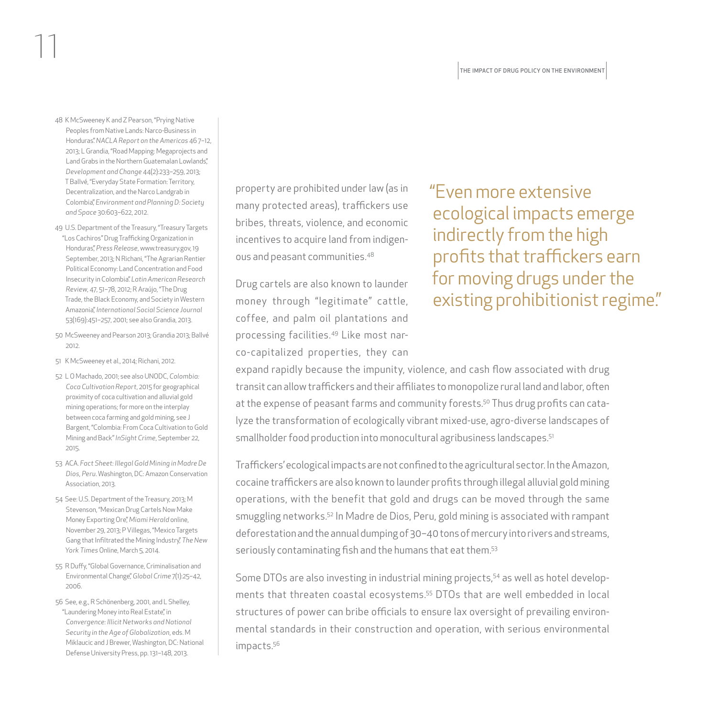48 K McSweeney K and Z Pearson, "Prying Native Peoples from Native Lands: Narco-Business in Honduras." *NACLA Report on the Americas* 46 7–12, 2013; L Grandia, "Road Mapping: Megaprojects and Land Grabs in the Northern Guatemalan Lowlands", *Development and Change* 44(2):233–259, 2013; T Ballvé, "Everyday State Formation: Territory, Decentralization, and the Narco Landgrab in Colombia," *Environment and Planning D: Society and Space* 30:603–622, 2012.

11

- 49 U.S. Department of the Treasury, "Treasury Targets "Los Cachiros" Drug Trafficking Organization in Honduras," *Press Release*,<www.treasury.gov>, 19 September, 2013; N Richani, "The Agrarian Rentier Political Economy: Land Concentration and Food Insecurity in Colombia." *Latin American Research Review*, 47, 51–78, 2012; R Araújo, "The Drug Trade, the Black Economy, and Society in Western Amazonia," *International Social Science Journal* 53(169):451–257, 2001; see also Grandia, 2013.
- 50 McSweeney and Pearson 2013; Grandia 2013; Ballvé 2012.
- 51 K McSweeney et al., 2014; Richani, 2012.
- 52 L O Machado, 2001; see also UNODC, *Colombia: Coca Cultivation Report*, 2015 for geographical proximity of coca cultivation and alluvial gold mining operations; for more on the interplay between coca farming and gold mining, see J Bargent, "Colombia: From Coca Cultivation to Gold Mining and Back" *InSight Crime*, September 22, 2015.
- 53 ACA. *Fact Sheet: Illegal Gold Mining in Madre De Dios, Peru*. Washington, DC: Amazon Conservation Association, 2013.
- 54 See: U.S. Department of the Treasury, 2013; M Stevenson, "Mexican Drug Cartels Now Make Money Exporting Ore," *Miami Herald* online, November 29, 2013; P Villegas, "Mexico Targets Gang that Infiltrated the Mining Industry," *The New York Times* Online, March 5, 2014.
- 55 R Duffy, "Global Governance, Criminalisation and Environmental Change," *Global Crime* 7(1):25–42, 2006.
- 56 See, e.g., R Schönenberg, 2001, and L Shelley, "Laundering Money into Real Estate", in *Convergence: Illicit Networks and National Security in the Age of Globalization*, eds. M Miklaucic and J Brewer, Washington, DC: National Defense University Press, pp. 131–148, 2013.

property are prohibited under law (as in many protected areas), traffickers use bribes, threats, violence, and economic incentives to acquire land from indigenous and peasant communities.48

Drug cartels are also known to launder money through "legitimate" cattle, coffee, and palm oil plantations and processing facilities.49 Like most narco-capitalized properties, they can "Even more extensive ecological impacts emerge indirectly from the high profits that traffickers earn for moving drugs under the existing prohibitionist regime."

expand rapidly because the impunity, violence, and cash flow associated with drug transit can allow traffickers and their affiliates to monopolize rural land and labor, often at the expense of peasant farms and community forests.50 Thus drug profits can catalyze the transformation of ecologically vibrant mixed-use, agro-diverse landscapes of smallholder food production into monocultural agribusiness landscapes.<sup>51</sup>

Traffickers' ecological impacts are not confined to the agricultural sector. In the Amazon, cocaine traffickers are also known to launder profits through illegal alluvial gold mining operations, with the benefit that gold and drugs can be moved through the same smuggling networks.52 In Madre de Dios, Peru, gold mining is associated with rampant deforestation and the annual dumping of 30–40 tons of mercury into rivers and streams, seriously contaminating fish and the humans that eat them.53

Some DTOs are also investing in industrial mining projects,54 as well as hotel developments that threaten coastal ecosystems.55 DTOs that are well embedded in local structures of power can bribe officials to ensure lax oversight of prevailing environmental standards in their construction and operation, with serious environmental impacts.56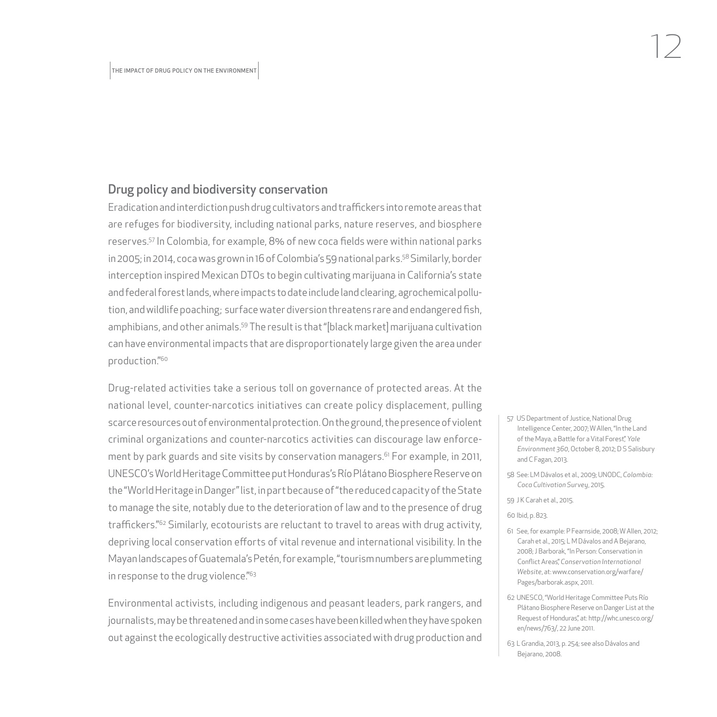#### Drug policy and biodiversity conservation

Eradication and interdiction push drug cultivators and traffickers into remote areas that are refuges for biodiversity, including national parks, nature reserves, and biosphere reserves.57 In Colombia, for example, 8% of new coca fields were within national parks in 2005; in 2014, coca was grown in 16 of Colombia's 59 national parks.58 Similarly, border interception inspired Mexican DTOs to begin cultivating marijuana in California's state and federal forest lands, where impacts to date include land clearing, agrochemical pollution, and wildlife poaching; surface water diversion threatens rare and endangered fish, amphibians, and other animals.59 The result is that "[black market] marijuana cultivation can have environmental impacts that are disproportionately large given the area under production."60

Drug-related activities take a serious toll on governance of protected areas. At the national level, counter-narcotics initiatives can create policy displacement, pulling scarce resources out of environmental protection. On the ground, the presence of violent criminal organizations and counter-narcotics activities can discourage law enforcement by park guards and site visits by conservation managers.<sup>61</sup> For example, in 2011, UNESCO's World Heritage Committee put Honduras's Río Plátano Biosphere Reserve on the "World Heritage in Danger" list, in part because of "the reduced capacity of the State to manage the site, notably due to the deterioration of law and to the presence of drug traffickers."62 Similarly, ecotourists are reluctant to travel to areas with drug activity, depriving local conservation efforts of vital revenue and international visibility. In the Mayan landscapes of Guatemala's Petén, for example, "tourism numbers are plummeting in response to the drug violence."<sup>63</sup>

Environmental activists, including indigenous and peasant leaders, park rangers, and journalists, may be threatened and in some cases have been killed when they have spoken out against the ecologically destructive activities associated with drug production and

- 57 US Department of Justice, National Drug Intelligence Center, 2007; W Allen, "In the Land of the Maya, a Battle for a Vital Forest," Yale *Environment 360*, October 8, 2012; D S Salisbury and C Fagan, 2013.
- 58 See: LM Dávalos et al., 2009; UNODC, *Colombia: Coca Cultivation Survey*, 2015.
- 59 J K Carah et al., 2015.
- 60 Ibid, p. 823.
- 61 See, for example: P Fearnside, 2008; W Allen, 2012; Carah et al., 2015; L M Dávalos and A Bejarano, 2008; J Barborak, "In Person: Conservation in Conflict Areas," *Conservation International Website*, at: [www.conservation.org/warfare/](www.conservation.org/warfare/Pages/barborak.aspx) [Pages/barborak.aspx,](www.conservation.org/warfare/Pages/barborak.aspx) 2011.
- 62 UNESCO, "World Heritage Committee Puts Río Plátano Biosphere Reserve on Danger List at the Request of Honduras", at: [http://whc.unesco.org/](http://whc.unesco.org/en/news/763/) [en/news/763/,](http://whc.unesco.org/en/news/763/) 22 June 2011.
- 63 L Grandia, 2013, p. 254; see also Dávalos and Bejarano, 2008.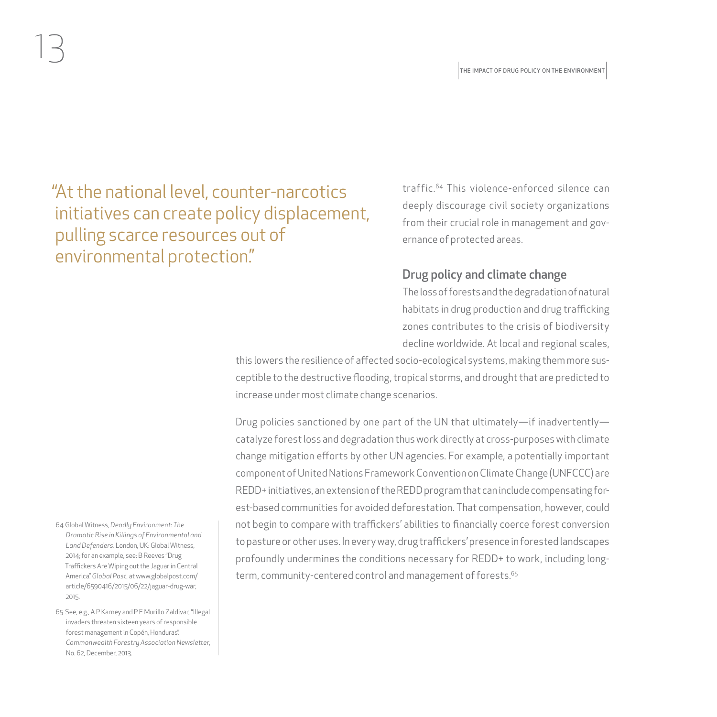"At the national level, counter-narcotics initiatives can create policy displacement, pulling scarce resources out of environmental protection."

traffic.64 This violence-enforced silence can deeply discourage civil society organizations from their crucial role in management and governance of protected areas.

#### Drug policy and climate change

The loss of forests and the degradation of natural habitats in drug production and drug trafficking zones contributes to the crisis of biodiversity decline worldwide. At local and regional scales,

this lowers the resilience of affected socio-ecological systems, making them more susceptible to the destructive flooding, tropical storms, and drought that are predicted to increase under most climate change scenarios.

Drug policies sanctioned by one part of the UN that ultimately—if inadvertently catalyze forest loss and degradation thus work directly at cross-purposes with climate change mitigation efforts by other UN agencies. For example, a potentially important component of United Nations Framework Convention on Climate Change (UNFCCC) are REDD+ initiatives, an extension of the REDD program that can include compensating forest-based communities for avoided deforestation. That compensation, however, could not begin to compare with traffickers' abilities to financially coerce forest conversion to pasture or other uses. In every way, drug traffickers' presence in forested landscapes profoundly undermines the conditions necessary for REDD+ to work, including longterm, community-centered control and management of forests.<sup>65</sup>

64 Global Witness, *Deadly Environment: The Dramatic Rise in Killings of Environmental and Land Defenders*. London, UK: Global Witness, 2014; for an example, see: B Reeves "Drug Traffickers Are Wiping out the Jaguar in Central America." *Global Post*, at [www.globalpost.com/](www.globalpost.com/article/6590416/2015/06/22/jaguar-drug-war) [article/6590416/2015/06/22/jaguar-drug-war,](www.globalpost.com/article/6590416/2015/06/22/jaguar-drug-war) 2015.

13

65 See, e.g., A P Karney and P E Murillo Zaldivar, "Illegal invaders threaten sixteen years of responsible forest management in Copén, Honduras". *Commonwealth Forestry Association Newsletter*, No. 62, December, 2013.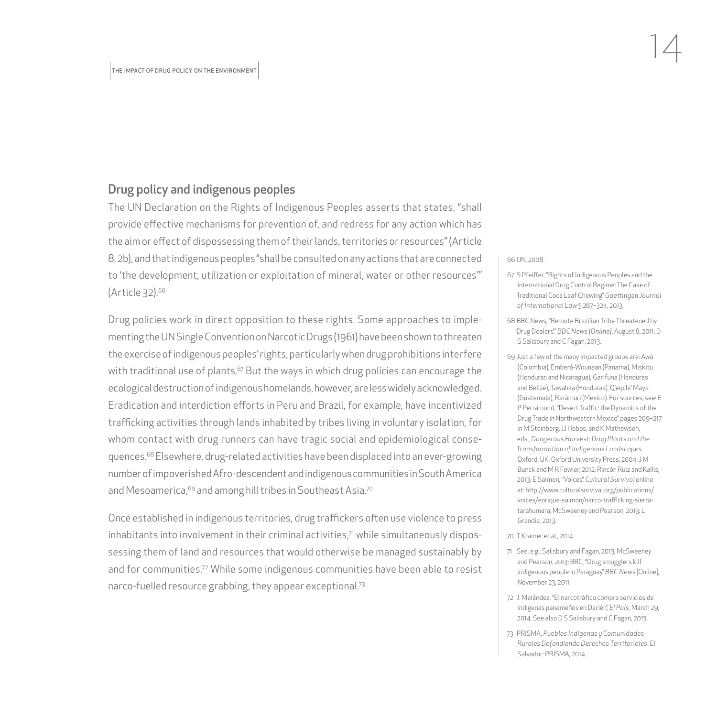#### Drug policy and indigenous peoples

The UN Declaration on the Rights of Indigenous Peoples asserts that states, "shall provide effective mechanisms for prevention of, and redress for any action which has the aim or effect of dispossessing them of their lands, territories or resources" (Article 8, 2b), and that indigenous peoples "shall be consulted on any actions that are connected to 'the development, utilization or exploitation of mineral, water or other resources'" (Article 32).66

Drug policies work in direct opposition to these rights. Some approaches to implementing the UN Single Convention on Narcotic Drugs (1961) have been shown to threaten the exercise of indigenous peoples' rights, particularly when drug prohibitions interfere with traditional use of plants. $67$  But the ways in which drug policies can encourage the ecological destruction of indigenous homelands, however, are less widely acknowledged. Eradication and interdiction efforts in Peru and Brazil, for example, have incentivized trafficking activities through lands inhabited by tribes living in voluntary isolation, for whom contact with drug runners can have tragic social and epidemiological consequences.68 Elsewhere, drug-related activities have been displaced into an ever-growing number of impoverished Afro-descendent and indigenous communities in South America and Mesoamerica, <sup>69</sup> and among hill tribes in Southeast Asia.<sup>70</sup>

Once established in indigenous territories, drug traffickers often use violence to press inhabitants into involvement in their criminal activities, $7$  while simultaneously dispossessing them of land and resources that would otherwise be managed sustainably by and for communities.72 While some indigenous communities have been able to resist narco-fuelled resource grabbing, they appear exceptional.73

#### 66 UN, 2008.

67 S Pfeiffer, "Rights of Indigenous Peoples and the International Drug Control Regime: The Case of Traditional Coca Leaf Chewing." *Goettingen Journal of International Law* 5 287–324, 2013.

14

- 68 BBC News, "Remote Brazilian Tribe Threatened by 'Drug Dealers,'" *BBC News [Online]*, August 8, 2011; D S Salisbury and C Fagan, 2013.
- 69 Just a few of the many impacted groups are: Awá (Colombia), Emberá-Wounaan (Panama), Miskitu (Honduras and Nicaragua), Garifuna (Honduras and Belize), Tawahka (Honduras), Q'eqchi' Maya (Guatemala), Rarámuri (Mexico). For sources, see: E P Perramond, "Desert Traffic: the Dynamics of the Drug Trade in Northwestern Mexico," pages 209–217 in M Steinberg, JJ Hobbs, and K Mathewson, eds., *Dangerous Harvest: Drug Plants and the Transformation of Indigenous Landscapes*, Oxford, UK: Oxford University Press, 2004; J M Bunck and M R Fowler, 2012; Rincón Ruiz and Kallis, 2013; E Salmon, "Voices," *Cultural Survival* online at: [http://www.culturalsurvival.org/publications/](http://www.culturalsurvival.org/publications/voices/enrique-salmon/narco-trafficking-sierra-tarahumara) [voices/enrique-salmon/narco-trafficking-sierra](http://www.culturalsurvival.org/publications/voices/enrique-salmon/narco-trafficking-sierra-tarahumara)[tarahumara](http://www.culturalsurvival.org/publications/voices/enrique-salmon/narco-trafficking-sierra-tarahumara); McSweeney and Pearson, 2013; L Grandia, 2013.
- 70 T Kramer et al., 2014.
- 71 See, e.g., Salisbury and Fagan, 2013; McSweeney and Pearson, 2013; BBC, "Drug smugglers kill indigenous people in Paraguay," *BBC News* [Online], November 23, 2011.
- 72 J. Meléndez, "El narcotráfico compra servicios de indígenas panameños en Darién," *El País*, March 29, 2014. See also D S Salisbury and C Fagan, 2013.
- 73 PRISMA, *Pueblos Indígenas y Comunidades Rurales Defendiendo Derechos Territoriales*. El Salvador: PRISMA, 2014.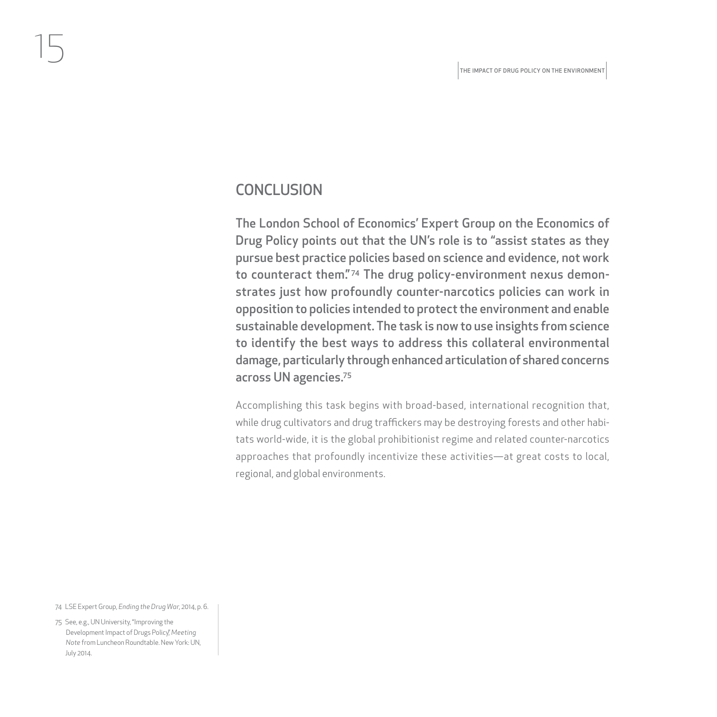#### **CONCLUSION**

The London School of Economics' Expert Group on the Economics of Drug Policy points out that the UN's role is to "assist states as they pursue best practice policies based on science and evidence, not work to counteract them."<sup>74</sup> The drug policy-environment nexus demonstrates just how profoundly counter-narcotics policies can work in opposition to policies intended to protect the environment and enable sustainable development. The task is now to use insights from science to identify the best ways to address this collateral environmental damage, particularly through enhanced articulation of shared concerns across UN agencies.75

Accomplishing this task begins with broad-based, international recognition that, while drug cultivators and drug traffickers may be destroying forests and other habitats world-wide, it is the global prohibitionist regime and related counter-narcotics approaches that profoundly incentivize these activities—at great costs to local, regional, and global environments.

74 LSE Expert Group, *Ending the Drug War*, 2014, p. 6.

<span id="page-16-0"></span>15

75 See, e.g., UN University, "Improving the Development Impact of Drugs Policy," *Meeting Note* from Luncheon Roundtable. New York: UN, July 2014.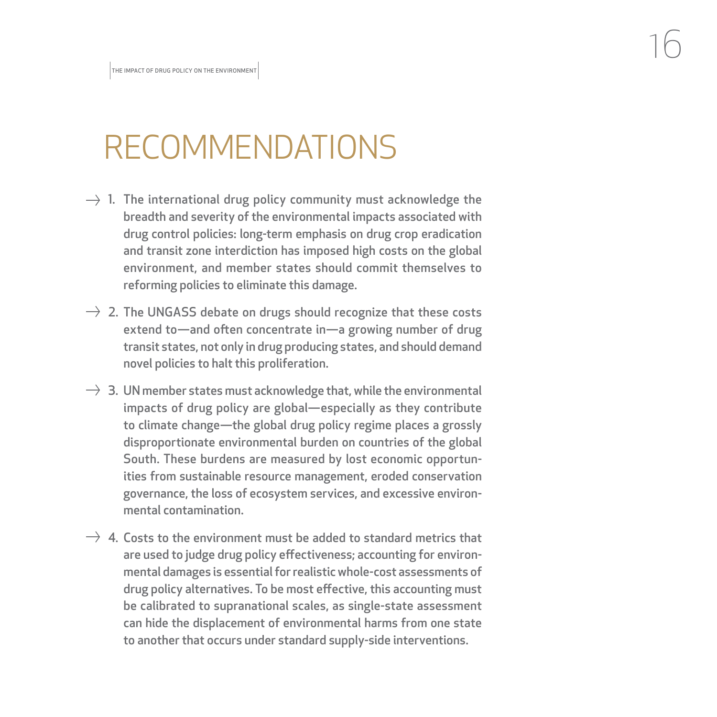## RECOMMENDATIONS

- $\rightarrow$  1. The international drug policy community must acknowledge the breadth and severity of the environmental impacts associated with drug control policies: long-term emphasis on drug crop eradication and transit zone interdiction has imposed high costs on the global environment, and member states should commit themselves to reforming policies to eliminate this damage.
- $\rightarrow$  2. The UNGASS debate on drugs should recognize that these costs extend to—and often concentrate in—a growing number of drug transit states, not only in drug producing states, and should demand novel policies to halt this proliferation.
- $\rightarrow$  3. UN member states must acknowledge that, while the environmental impacts of drug policy are global—especially as they contribute to climate change—the global drug policy regime places a grossly disproportionate environmental burden on countries of the global South. These burdens are measured by lost economic opportunities from sustainable resource management, eroded conservation governance, the loss of ecosystem services, and excessive environmental contamination.
- $\rightarrow$  4. Costs to the environment must be added to standard metrics that are used to judge drug policy effectiveness; accounting for environmental damages is essential for realistic whole-cost assessments of drug policy alternatives. To be most effective, this accounting must be calibrated to supranational scales, as single-state assessment can hide the displacement of environmental harms from one state to another that occurs under standard supply-side interventions.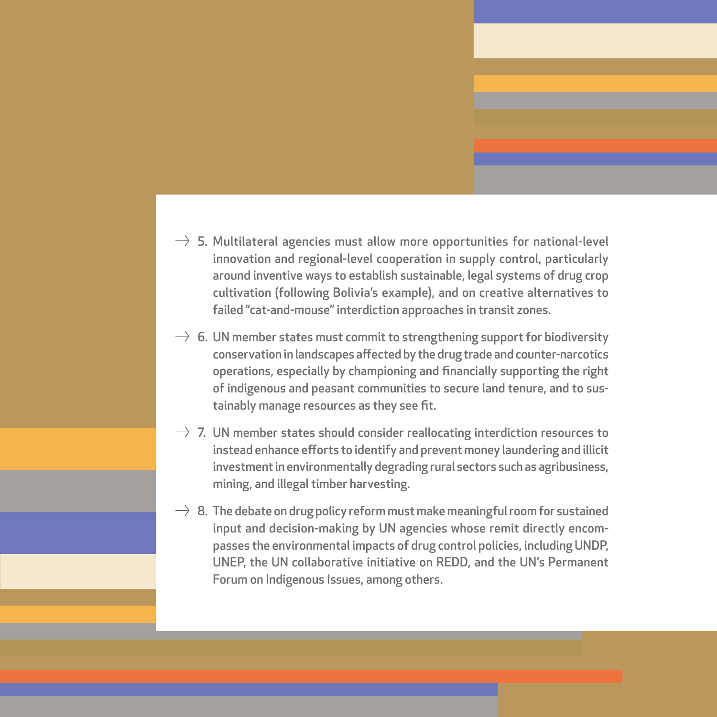- 
- $\rightarrow$  5. Multilateral agencies must allow more opportunities for national-level innovation and regional-level cooperation in supply control, particularly around inventive ways to establish sustainable, legal systems of drug crop cultivation (following Bolivia's example), and on creative alternatives to failed "cat-and-mouse" interdiction approaches in transit zones.
- $\rightarrow$  6. UN member states must commit to strengthening support for biodiversity conservation in landscapes affected by the drug trade and counter-narcotics operations, especially by championing and financially supporting the right of indigenous and peasant communities to secure land tenure, and to sustainably manage resources as they see fit.
- $\rightarrow$  7. UN member states should consider reallocating interdiction resources to instead enhance efforts to identify and prevent money laundering and illicit investment in environmentally degrading rural sectors such as agribusiness, mining, and illegal timber harvesting.
- $\rightarrow 8$ . The debate on drug policy reform must make meaningful room for sustained input and decision-making by UN agencies whose remit directly encompasses the environmental impacts of drug control policies, including UNDP, UNEP, the UN collaborative initiative on REDD, and the UN's Permanent Forum on Indigenous Issues, among others.